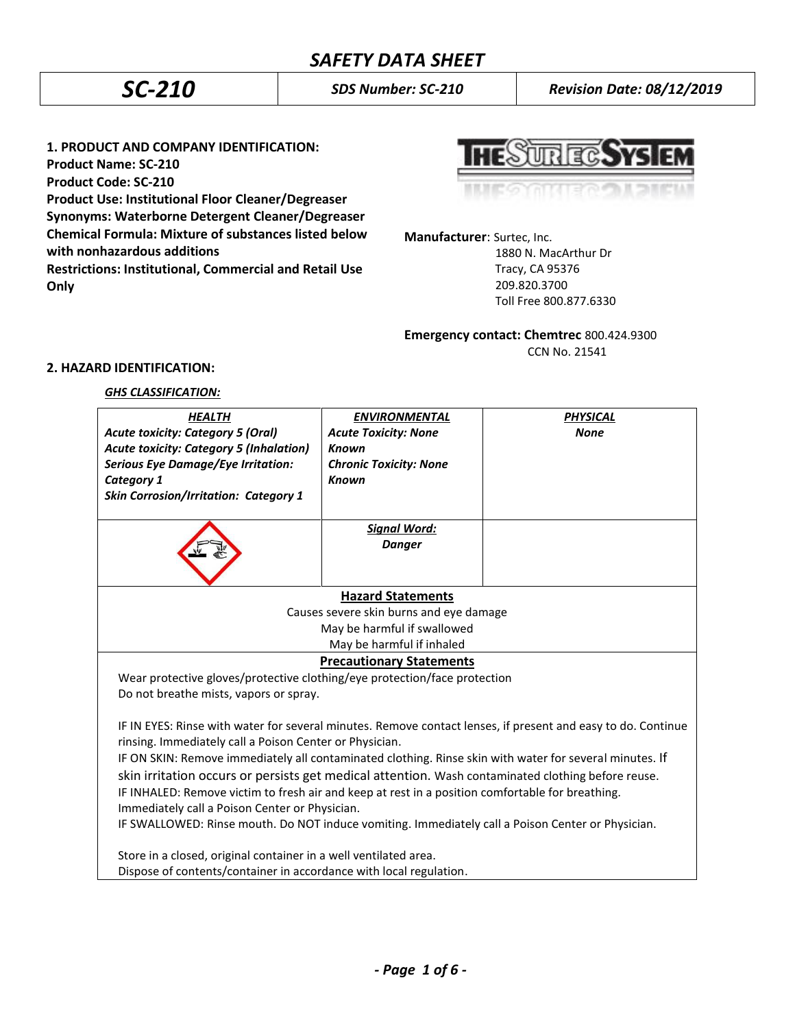*SC-210 SDS Number: SC-210 Revision Date: 08/12/2019*

**1. PRODUCT AND COMPANY IDENTIFICATION: Product Name: SC-210 Product Code: SC-210 Product Use: Institutional Floor Cleaner/Degreaser Synonyms: Waterborne Detergent Cleaner/Degreaser Chemical Formula: Mixture of substances listed below with nonhazardous additions Restrictions: Institutional, Commercial and Retail Use Only**



**Manufacturer**: Surtec, Inc.

 1880 N. MacArthur Dr Tracy, CA 95376 209.820.3700 Toll Free 800.877.6330

# **Emergency contact: Chemtrec** 800.424.9300

CCN No. 21541

# **2. HAZARD IDENTIFICATION:**

## *GHS CLASSIFICATION:*

| <b>Acute toxicity: Category 5 (Oral)</b><br><b>Acute Toxicity: None</b><br><b>None</b><br><b>Acute toxicity: Category 5 (Inhalation)</b><br><b>Known</b><br><b>Serious Eye Damage/Eye Irritation:</b><br><b>Chronic Toxicity: None</b><br>Category 1<br><b>Known</b><br><b>Skin Corrosion/Irritation: Category 1</b><br><b>Signal Word:</b><br><b>Danger</b><br><b>Hazard Statements</b><br>Causes severe skin burns and eye damage<br>May be harmful if swallowed<br>May be harmful if inhaled<br><b>Precautionary Statements</b><br>Wear protective gloves/protective clothing/eye protection/face protection<br>Do not breathe mists, vapors or spray.<br>IF IN EYES: Rinse with water for several minutes. Remove contact lenses, if present and easy to do. Continue<br>rinsing. Immediately call a Poison Center or Physician.<br>IF ON SKIN: Remove immediately all contaminated clothing. Rinse skin with water for several minutes. If<br>skin irritation occurs or persists get medical attention. Wash contaminated clothing before reuse.<br>IF INHALED: Remove victim to fresh air and keep at rest in a position comfortable for breathing.<br>Immediately call a Poison Center or Physician.<br>IF SWALLOWED: Rinse mouth. Do NOT induce vomiting. Immediately call a Poison Center or Physician.<br>Store in a closed, original container in a well ventilated area.<br>Dispose of contents/container in accordance with local regulation. | <b>HEALTH</b> | <b>ENVIRONMENTAL</b> | <b>PHYSICAL</b> |
|------------------------------------------------------------------------------------------------------------------------------------------------------------------------------------------------------------------------------------------------------------------------------------------------------------------------------------------------------------------------------------------------------------------------------------------------------------------------------------------------------------------------------------------------------------------------------------------------------------------------------------------------------------------------------------------------------------------------------------------------------------------------------------------------------------------------------------------------------------------------------------------------------------------------------------------------------------------------------------------------------------------------------------------------------------------------------------------------------------------------------------------------------------------------------------------------------------------------------------------------------------------------------------------------------------------------------------------------------------------------------------------------------------------------------------------------------------|---------------|----------------------|-----------------|
|                                                                                                                                                                                                                                                                                                                                                                                                                                                                                                                                                                                                                                                                                                                                                                                                                                                                                                                                                                                                                                                                                                                                                                                                                                                                                                                                                                                                                                                            |               |                      |                 |
|                                                                                                                                                                                                                                                                                                                                                                                                                                                                                                                                                                                                                                                                                                                                                                                                                                                                                                                                                                                                                                                                                                                                                                                                                                                                                                                                                                                                                                                            |               |                      |                 |
|                                                                                                                                                                                                                                                                                                                                                                                                                                                                                                                                                                                                                                                                                                                                                                                                                                                                                                                                                                                                                                                                                                                                                                                                                                                                                                                                                                                                                                                            |               |                      |                 |
|                                                                                                                                                                                                                                                                                                                                                                                                                                                                                                                                                                                                                                                                                                                                                                                                                                                                                                                                                                                                                                                                                                                                                                                                                                                                                                                                                                                                                                                            |               |                      |                 |
|                                                                                                                                                                                                                                                                                                                                                                                                                                                                                                                                                                                                                                                                                                                                                                                                                                                                                                                                                                                                                                                                                                                                                                                                                                                                                                                                                                                                                                                            |               |                      |                 |
|                                                                                                                                                                                                                                                                                                                                                                                                                                                                                                                                                                                                                                                                                                                                                                                                                                                                                                                                                                                                                                                                                                                                                                                                                                                                                                                                                                                                                                                            |               |                      |                 |
|                                                                                                                                                                                                                                                                                                                                                                                                                                                                                                                                                                                                                                                                                                                                                                                                                                                                                                                                                                                                                                                                                                                                                                                                                                                                                                                                                                                                                                                            |               |                      |                 |
|                                                                                                                                                                                                                                                                                                                                                                                                                                                                                                                                                                                                                                                                                                                                                                                                                                                                                                                                                                                                                                                                                                                                                                                                                                                                                                                                                                                                                                                            |               |                      |                 |
|                                                                                                                                                                                                                                                                                                                                                                                                                                                                                                                                                                                                                                                                                                                                                                                                                                                                                                                                                                                                                                                                                                                                                                                                                                                                                                                                                                                                                                                            |               |                      |                 |
|                                                                                                                                                                                                                                                                                                                                                                                                                                                                                                                                                                                                                                                                                                                                                                                                                                                                                                                                                                                                                                                                                                                                                                                                                                                                                                                                                                                                                                                            |               |                      |                 |
|                                                                                                                                                                                                                                                                                                                                                                                                                                                                                                                                                                                                                                                                                                                                                                                                                                                                                                                                                                                                                                                                                                                                                                                                                                                                                                                                                                                                                                                            |               |                      |                 |
|                                                                                                                                                                                                                                                                                                                                                                                                                                                                                                                                                                                                                                                                                                                                                                                                                                                                                                                                                                                                                                                                                                                                                                                                                                                                                                                                                                                                                                                            |               |                      |                 |
|                                                                                                                                                                                                                                                                                                                                                                                                                                                                                                                                                                                                                                                                                                                                                                                                                                                                                                                                                                                                                                                                                                                                                                                                                                                                                                                                                                                                                                                            |               |                      |                 |
|                                                                                                                                                                                                                                                                                                                                                                                                                                                                                                                                                                                                                                                                                                                                                                                                                                                                                                                                                                                                                                                                                                                                                                                                                                                                                                                                                                                                                                                            |               |                      |                 |
|                                                                                                                                                                                                                                                                                                                                                                                                                                                                                                                                                                                                                                                                                                                                                                                                                                                                                                                                                                                                                                                                                                                                                                                                                                                                                                                                                                                                                                                            |               |                      |                 |
|                                                                                                                                                                                                                                                                                                                                                                                                                                                                                                                                                                                                                                                                                                                                                                                                                                                                                                                                                                                                                                                                                                                                                                                                                                                                                                                                                                                                                                                            |               |                      |                 |
|                                                                                                                                                                                                                                                                                                                                                                                                                                                                                                                                                                                                                                                                                                                                                                                                                                                                                                                                                                                                                                                                                                                                                                                                                                                                                                                                                                                                                                                            |               |                      |                 |
|                                                                                                                                                                                                                                                                                                                                                                                                                                                                                                                                                                                                                                                                                                                                                                                                                                                                                                                                                                                                                                                                                                                                                                                                                                                                                                                                                                                                                                                            |               |                      |                 |
|                                                                                                                                                                                                                                                                                                                                                                                                                                                                                                                                                                                                                                                                                                                                                                                                                                                                                                                                                                                                                                                                                                                                                                                                                                                                                                                                                                                                                                                            |               |                      |                 |
|                                                                                                                                                                                                                                                                                                                                                                                                                                                                                                                                                                                                                                                                                                                                                                                                                                                                                                                                                                                                                                                                                                                                                                                                                                                                                                                                                                                                                                                            |               |                      |                 |
|                                                                                                                                                                                                                                                                                                                                                                                                                                                                                                                                                                                                                                                                                                                                                                                                                                                                                                                                                                                                                                                                                                                                                                                                                                                                                                                                                                                                                                                            |               |                      |                 |
|                                                                                                                                                                                                                                                                                                                                                                                                                                                                                                                                                                                                                                                                                                                                                                                                                                                                                                                                                                                                                                                                                                                                                                                                                                                                                                                                                                                                                                                            |               |                      |                 |
|                                                                                                                                                                                                                                                                                                                                                                                                                                                                                                                                                                                                                                                                                                                                                                                                                                                                                                                                                                                                                                                                                                                                                                                                                                                                                                                                                                                                                                                            |               |                      |                 |
|                                                                                                                                                                                                                                                                                                                                                                                                                                                                                                                                                                                                                                                                                                                                                                                                                                                                                                                                                                                                                                                                                                                                                                                                                                                                                                                                                                                                                                                            |               |                      |                 |
|                                                                                                                                                                                                                                                                                                                                                                                                                                                                                                                                                                                                                                                                                                                                                                                                                                                                                                                                                                                                                                                                                                                                                                                                                                                                                                                                                                                                                                                            |               |                      |                 |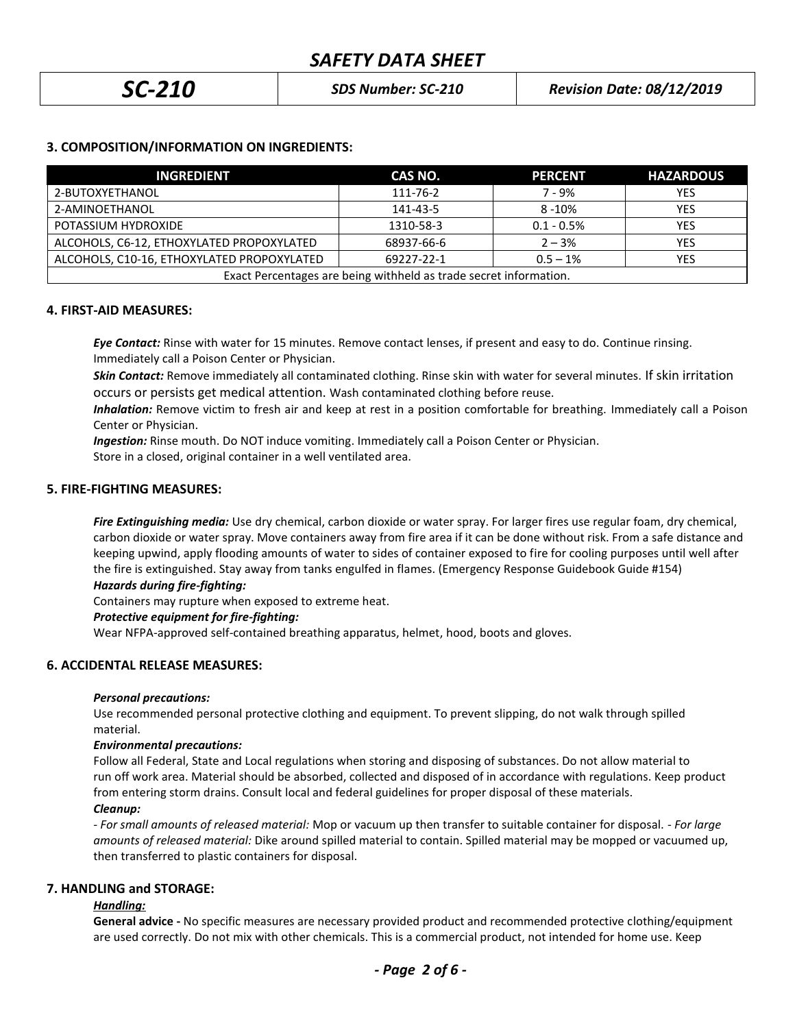| <b>SC-210</b> | <b>SDS Number: SC-210</b> | <b>Revision Date: 08/12/2019</b> |
|---------------|---------------------------|----------------------------------|
|---------------|---------------------------|----------------------------------|

# **3. COMPOSITION/INFORMATION ON INGREDIENTS:**

| <b>INGREDIENT</b>                                                 | CAS NO.    | <b>PERCENT</b> | <b>HAZARDOUS</b> |
|-------------------------------------------------------------------|------------|----------------|------------------|
| 2-BUTOXYETHANOL                                                   | 111-76-2   | $7 - 9%$       | YES              |
| 2-AMINOETHANOL                                                    | 141-43-5   | $8 - 10%$      | YES              |
| POTASSIUM HYDROXIDE                                               | 1310-58-3  | $0.1 - 0.5%$   | <b>YES</b>       |
| ALCOHOLS, C6-12, ETHOXYLATED PROPOXYLATED                         | 68937-66-6 | $2 - 3%$       | YES              |
| ALCOHOLS, C10-16, ETHOXYLATED PROPOXYLATED                        | 69227-22-1 | $0.5 - 1%$     | YES              |
| Exact Percentages are being withheld as trade secret information. |            |                |                  |

## **4. FIRST-AID MEASURES:**

*Eye Contact:* Rinse with water for 15 minutes. Remove contact lenses, if present and easy to do. Continue rinsing. Immediately call a Poison Center or Physician.

*Skin Contact:* Remove immediately all contaminated clothing. Rinse skin with water for several minutes. If skin irritation occurs or persists get medical attention. Wash contaminated clothing before reuse.

 *Inhalation:* Remove victim to fresh air and keep at rest in a position comfortable for breathing. Immediately call a Poison Center or Physician.

*Ingestion:* Rinse mouth. Do NOT induce vomiting. Immediately call a Poison Center or Physician.

Store in a closed, original container in a well ventilated area.

## **5. FIRE-FIGHTING MEASURES:**

*Fire Extinguishing media:* Use dry chemical, carbon dioxide or water spray. For larger fires use regular foam, dry chemical, carbon dioxide or water spray. Move containers away from fire area if it can be done without risk. From a safe distance and keeping upwind, apply flooding amounts of water to sides of container exposed to fire for cooling purposes until well after the fire is extinguished. Stay away from tanks engulfed in flames. (Emergency Response Guidebook Guide #154)

### *Hazards during fire-fighting:*

Containers may rupture when exposed to extreme heat.

### *Protective equipment for fire-fighting:*

Wear NFPA-approved self-contained breathing apparatus, helmet, hood, boots and gloves.

## **6. ACCIDENTAL RELEASE MEASURES:**

### *Personal precautions:*

Use recommended personal protective clothing and equipment. To prevent slipping, do not walk through spilled material.

### *Environmental precautions:*

Follow all Federal, State and Local regulations when storing and disposing of substances. Do not allow material to run off work area. Material should be absorbed, collected and disposed of in accordance with regulations. Keep product from entering storm drains. Consult local and federal guidelines for proper disposal of these materials. *Cleanup:*

*- For small amounts of released material:* Mop or vacuum up then transfer to suitable container for disposal. - *For large amounts of released material:* Dike around spilled material to contain. Spilled material may be mopped or vacuumed up, then transferred to plastic containers for disposal.

## **7. HANDLING and STORAGE:**

## *Handling:*

**General advice -** No specific measures are necessary provided product and recommended protective clothing/equipment are used correctly. Do not mix with other chemicals. This is a commercial product, not intended for home use. Keep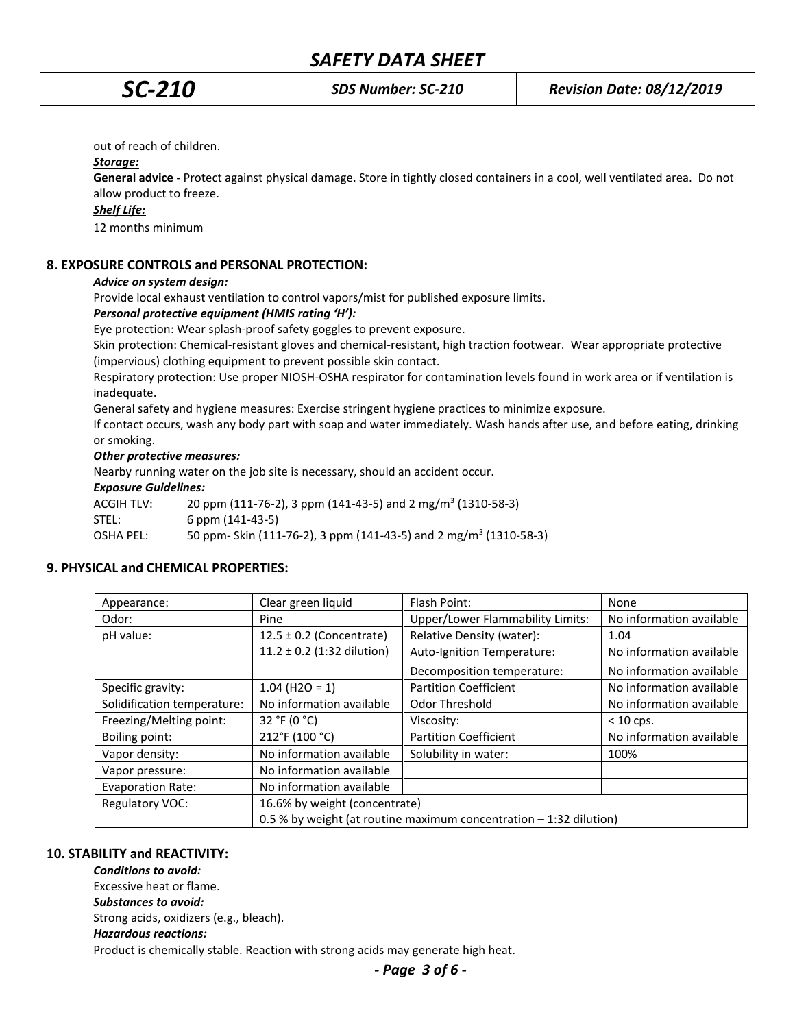out of reach of children.

### *Storage:*

**General advice -** Protect against physical damage. Store in tightly closed containers in a cool, well ventilated area. Do not allow product to freeze.

# *Shelf Life:*

12 months minimum

## **8. EXPOSURE CONTROLS and PERSONAL PROTECTION:**

## *Advice on system design:*

Provide local exhaust ventilation to control vapors/mist for published exposure limits.

## *Personal protective equipment (HMIS rating 'H'):*

Eye protection: Wear splash-proof safety goggles to prevent exposure.

Skin protection: Chemical-resistant gloves and chemical-resistant, high traction footwear. Wear appropriate protective (impervious) clothing equipment to prevent possible skin contact.

Respiratory protection: Use proper NIOSH-OSHA respirator for contamination levels found in work area or if ventilation is inadequate.

General safety and hygiene measures: Exercise stringent hygiene practices to minimize exposure.

If contact occurs, wash any body part with soap and water immediately. Wash hands after use, and before eating, drinking or smoking.

## *Other protective measures:*

Nearby running water on the job site is necessary, should an accident occur.

## *Exposure Guidelines:*

ACGIH TLV: 20 ppm (111-76-2), 3 ppm (141-43-5) and 2 mg/m<sup>3</sup> (1310-58-3) STEL: 6 ppm (141-43-5) OSHA PEL: 50 ppm- Skin (111-76-2), 3 ppm (141-43-5) and 2 mg/m<sup>3</sup> (1310-58-3)

## **9. PHYSICAL and CHEMICAL PROPERTIES:**

| Appearance:                 | Clear green liquid                                                 | Flash Point:                     | None                     |
|-----------------------------|--------------------------------------------------------------------|----------------------------------|--------------------------|
| Odor:                       | Pine                                                               | Upper/Lower Flammability Limits: | No information available |
| pH value:                   | $12.5 \pm 0.2$ (Concentrate)                                       | Relative Density (water):        | 1.04                     |
|                             | $11.2 \pm 0.2$ (1:32 dilution)                                     | Auto-Ignition Temperature:       | No information available |
|                             |                                                                    | Decomposition temperature:       | No information available |
| Specific gravity:           | $1.04$ (H2O = 1)                                                   | <b>Partition Coefficient</b>     | No information available |
| Solidification temperature: | No information available                                           | Odor Threshold                   | No information available |
| Freezing/Melting point:     | 32 °F (0 °C)                                                       | Viscosity:                       | $< 10$ cps.              |
| Boiling point:              | 212°F (100 °C)                                                     | <b>Partition Coefficient</b>     | No information available |
| Vapor density:              | No information available                                           | Solubility in water:             | 100%                     |
| Vapor pressure:             | No information available                                           |                                  |                          |
| <b>Evaporation Rate:</b>    | No information available                                           |                                  |                          |
| <b>Regulatory VOC:</b>      | 16.6% by weight (concentrate)                                      |                                  |                          |
|                             | 0.5 % by weight (at routine maximum concentration - 1:32 dilution) |                                  |                          |

## **10. STABILITY and REACTIVITY:**

*Conditions to avoid:* Excessive heat or flame. *Substances to avoid:* Strong acids, oxidizers (e.g., bleach). *Hazardous reactions:* Product is chemically stable. Reaction with strong acids may generate high heat.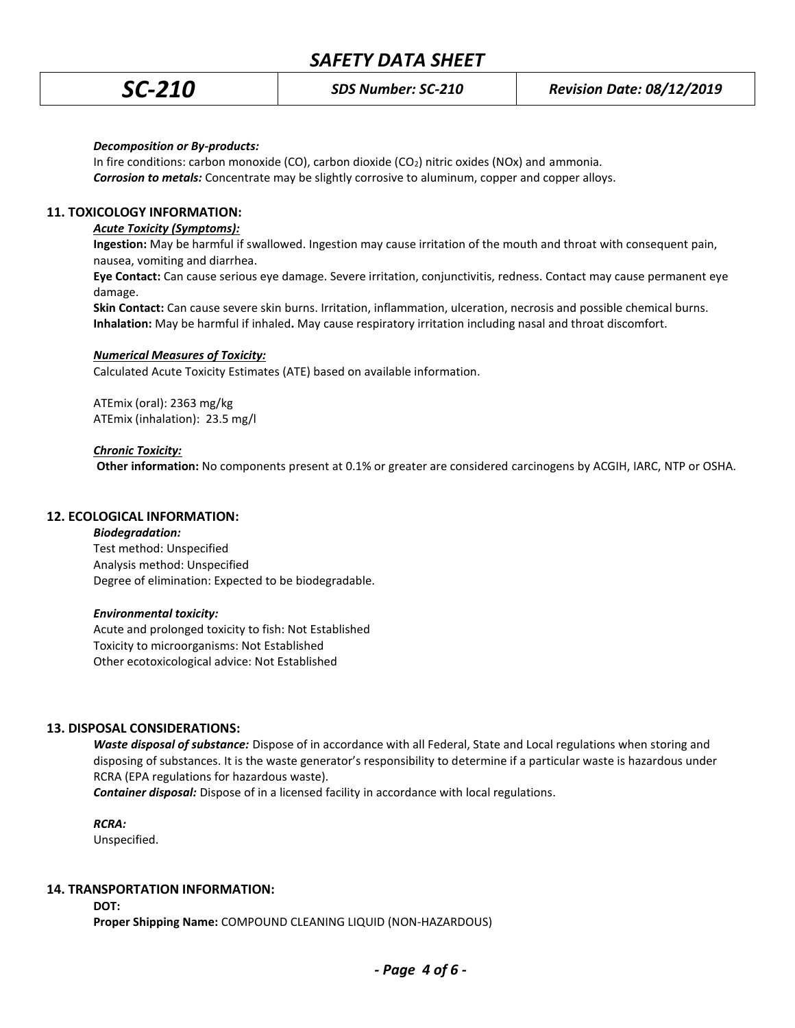## *Decomposition or By-products:*

In fire conditions: carbon monoxide (CO), carbon dioxide (CO2) nitric oxides (NOx) and ammonia. *Corrosion to metals:* Concentrate may be slightly corrosive to aluminum, copper and copper alloys.

# **11. TOXICOLOGY INFORMATION:**

# *Acute Toxicity (Symptoms):*

**Ingestion:** May be harmful if swallowed. Ingestion may cause irritation of the mouth and throat with consequent pain, nausea, vomiting and diarrhea.

**Eye Contact:** Can cause serious eye damage. Severe irritation, conjunctivitis, redness. Contact may cause permanent eye damage.

**Skin Contact:** Can cause severe skin burns. Irritation, inflammation, ulceration, necrosis and possible chemical burns. **Inhalation:** May be harmful if inhaled**.** May cause respiratory irritation including nasal and throat discomfort.

## *Numerical Measures of Toxicity:*

Calculated Acute Toxicity Estimates (ATE) based on available information.

ATEmix (oral): 2363 mg/kg ATEmix (inhalation): 23.5 mg/l

## *Chronic Toxicity:*

 **Other information:** No components present at 0.1% or greater are considered carcinogens by ACGIH, IARC, NTP or OSHA.

## **12. ECOLOGICAL INFORMATION:**

### *Biodegradation:*

Test method: Unspecified Analysis method: Unspecified Degree of elimination: Expected to be biodegradable.

### *Environmental toxicity:*

Acute and prolonged toxicity to fish: Not Established Toxicity to microorganisms: Not Established Other ecotoxicological advice: Not Established

## **13. DISPOSAL CONSIDERATIONS:**

*Waste disposal of substance:* Dispose of in accordance with all Federal, State and Local regulations when storing and disposing of substances. It is the waste generator's responsibility to determine if a particular waste is hazardous under RCRA (EPA regulations for hazardous waste).

*Container disposal:* Dispose of in a licensed facility in accordance with local regulations.

*RCRA:*

Unspecified.

## **14. TRANSPORTATION INFORMATION:**

**DOT:**

**Proper Shipping Name:** COMPOUND CLEANING LIQUID (NON-HAZARDOUS)

*- Page 4 of 6 -*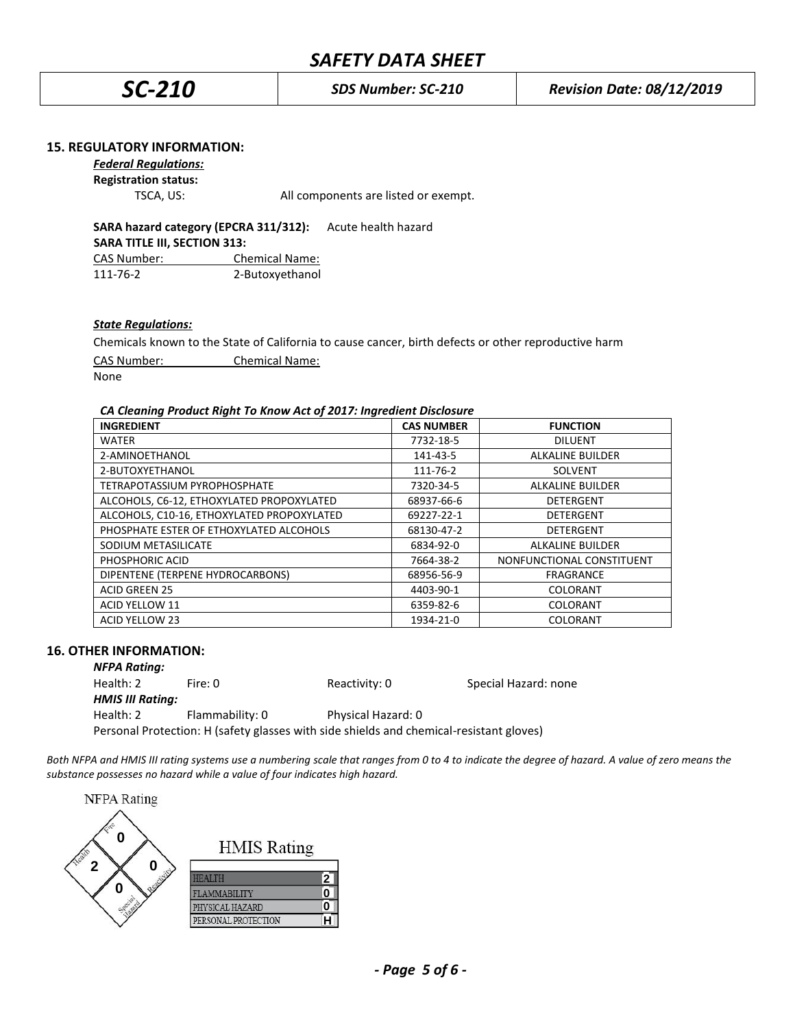*SC-210 SDS Number: SC-210 Revision Date: 08/12/2019*

## **15. REGULATORY INFORMATION:**

*Federal Regulations:*

**Registration status:**

TSCA, US: All components are listed or exempt.

**SARA hazard category (EPCRA 311/312):** Acute health hazard **SARA TITLE III, SECTION 313:** CAS Number: Chemical Name: 111-76-2 2-Butoxyethanol

## *State Regulations:*

Chemicals known to the State of California to cause cancer, birth defects or other reproductive harm

CAS Number: Chemical Name:

None

## *CA Cleaning Product Right To Know Act of 2017: Ingredient Disclosure*

| <b>INGREDIENT</b>                          | <b>CAS NUMBER</b> | <b>FUNCTION</b>           |
|--------------------------------------------|-------------------|---------------------------|
| <b>WATER</b>                               | 7732-18-5         | <b>DILUENT</b>            |
| 2-AMINOETHANOL                             | 141-43-5          | <b>ALKALINE BUILDER</b>   |
| 2-BUTOXYETHANOL                            | 111-76-2          | <b>SOLVENT</b>            |
| TETRAPOTASSIUM PYROPHOSPHATE               | 7320-34-5         | <b>ALKALINE BUILDER</b>   |
| ALCOHOLS, C6-12, ETHOXYLATED PROPOXYLATED  | 68937-66-6        | DETERGENT                 |
| ALCOHOLS, C10-16, ETHOXYLATED PROPOXYLATED | 69227-22-1        | <b>DETERGENT</b>          |
| PHOSPHATE ESTER OF ETHOXYLATED ALCOHOLS    | 68130-47-2        | <b>DETERGENT</b>          |
| SODIUM METASILICATE                        | 6834-92-0         | <b>ALKALINE BUILDER</b>   |
| PHOSPHORIC ACID                            | 7664-38-2         | NONFUNCTIONAL CONSTITUENT |
| DIPENTENE (TERPENE HYDROCARBONS)           | 68956-56-9        | <b>FRAGRANCE</b>          |
| <b>ACID GREEN 25</b>                       | 4403-90-1         | COLORANT                  |
| <b>ACID YELLOW 11</b>                      | 6359-82-6         | COLORANT                  |
| <b>ACID YELLOW 23</b>                      | 1934-21-0         | COLORANT                  |

### **16. OTHER INFORMATION:**

| <b>NFPA Rating:</b>     |                                                                                         |                    |                      |
|-------------------------|-----------------------------------------------------------------------------------------|--------------------|----------------------|
| Health: 2               | Fire: 0                                                                                 | Reactivity: 0      | Special Hazard: none |
| <b>HMIS III Rating:</b> |                                                                                         |                    |                      |
| Health: 2               | Flammability: 0                                                                         | Physical Hazard: 0 |                      |
|                         | Personal Protection: H (safety glasses with side shields and chemical-resistant gloves) |                    |                      |

*Both NFPA and HMIS III rating systems use a numbering scale that ranges from 0 to 4 to indicate the degree of hazard. A value of zero means the substance possesses no hazard while a value of four indicates high hazard.*